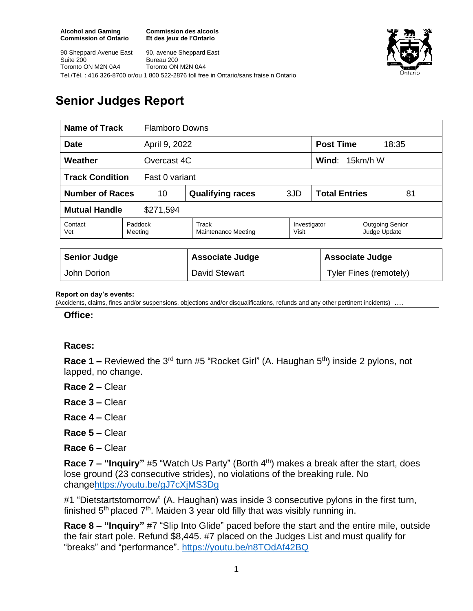**Commission des alcools Et des jeux de l'Ontario**



90 Sheppard Avenue East Suite 200 Toronto ON M2N 0A4 90, avenue Sheppard East Bureau 200 Toronto ON M2N 0A4 Tel./Tél. : 416 326-8700 or/ou 1 800 522-2876 toll free in Ontario/sans fraise n Ontario

## **Senior Judges Report**

| <b>Name of Track</b><br><b>Flamboro Downs</b> |                    |                              |                       |                            |                                        |
|-----------------------------------------------|--------------------|------------------------------|-----------------------|----------------------------|----------------------------------------|
| <b>Date</b><br>April 9, 2022                  |                    |                              |                       | <b>Post Time</b>           | 18:35                                  |
| Weather<br>Overcast 4C                        |                    |                              |                       | <b>Wind:</b> $15km/h$ W    |                                        |
| <b>Track Condition</b><br>Fast 0 variant      |                    |                              |                       |                            |                                        |
| <b>Number of Races</b><br>10                  |                    | <b>Qualifying races</b>      | 3JD                   | <b>Total Entries</b><br>81 |                                        |
| <b>Mutual Handle</b><br>\$271,594             |                    |                              |                       |                            |                                        |
| Contact<br>Vet                                | Paddock<br>Meeting | Track<br>Maintenance Meeting | Investigator<br>Visit |                            | <b>Outgoing Senior</b><br>Judge Update |
|                                               |                    |                              |                       |                            |                                        |
| <b>Senior Judge</b>                           |                    | <b>Associate Judge</b>       |                       | <b>Associate Judge</b>     |                                        |
| John Dorion                                   |                    | David Stewart                |                       | Tyler Fines (remotely)     |                                        |

## **Report on day's events:**

(Accidents, claims, fines and/or suspensions, objections and/or disqualifications, refunds and any other pertinent incidents) ….

**Office:**

## **Races:**

**Race 1 –** Reviewed the 3<sup>rd</sup> turn #5 "Rocket Girl" (A. Haughan 5<sup>th</sup>) inside 2 pylons, not lapped, no change.

- **Race 2 –** Clear
- **Race 3 –** Clear
- **Race 4 –** Clear
- **Race 5 –** Clear
- **Race 6 –** Clear

**Race 7 – "Inquiry"** #5 "Watch Us Party" (Borth 4th) makes a break after the start, does lose ground (23 consecutive strides), no violations of the breaking rule. No chang[ehttps://youtu.be/gJ7cXjMS3Dg](https://youtu.be/gJ7cXjMS3Dg)

#1 "Dietstartstomorrow" (A. Haughan) was inside 3 consecutive pylons in the first turn, finished  $5<sup>th</sup>$  placed  $7<sup>th</sup>$ . Maiden 3 year old filly that was visibly running in.

**Race 8 – "Inquiry"** #7 "Slip Into Glide" paced before the start and the entire mile, outside the fair start pole. Refund \$8,445. #7 placed on the Judges List and must qualify for "breaks" and "performance". <https://youtu.be/n8TOdAf42BQ>